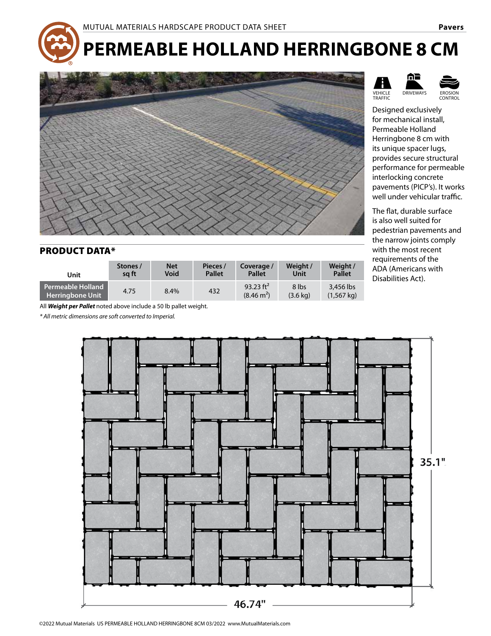# **PERMEABLE HOLLAND HERRINGBONE 8 CM**



#### PRODUCT DATA\*

| Unit                                         | Stones / | <b>Net</b> | Pieces /      | Coverage /                           | Weight /                    | Weight /                          |
|----------------------------------------------|----------|------------|---------------|--------------------------------------|-----------------------------|-----------------------------------|
|                                              | sa ft    | Void       | <b>Pallet</b> | <b>Pallet</b>                        | Unit                        | <b>Pallet</b>                     |
| Permeable Holland<br><b>Herringbone Unit</b> | 4.75     | 8.4%       | 432           | 93.23 $ft^2$<br>$(8.46 \text{ m}^2)$ | 8 lbs<br>$(3.6 \text{ ka})$ | 3.456 lbs<br>$(1.567 \text{ ka})$ |

All *Weight per Pallet* noted above include a 50 lb pallet weight.

 $*$  All metric dimensions are soft converted to Imperial.







Designed exclusively for mechanical install, Permeable Holland Herringbone 8 cm with its unique spacer lugs, provides secure structural performance for permeable interlocking concrete pavements (PICP's). It works well under vehicular traffic.

The flat, durable surface is also well suited for pedestrian pavements and the narrow joints comply with the most recent requirements of the ADA (Americans with Disabilities Act).